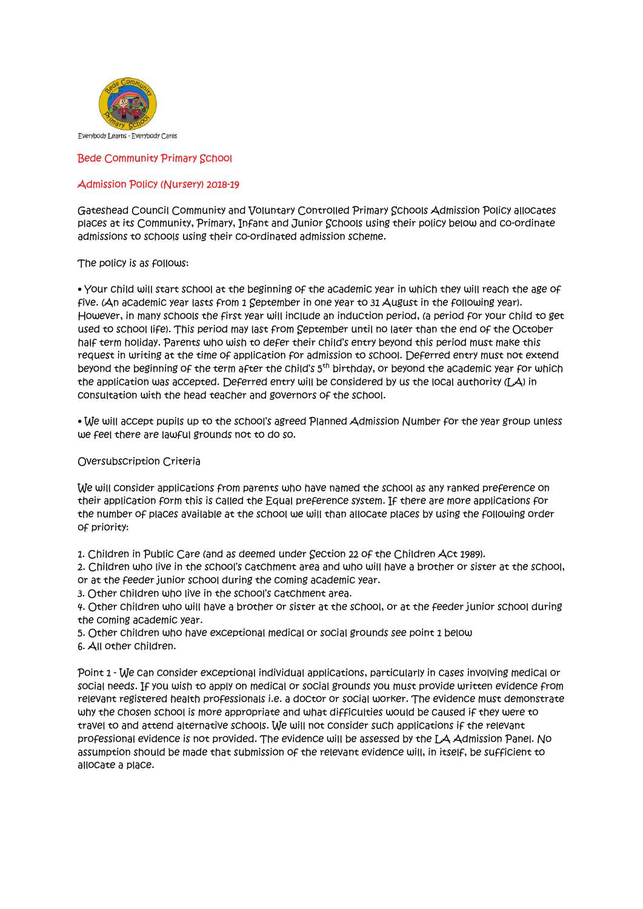

Bede Community Primary School

## Admission Policy (Nursery) 2018-19

Gateshead Council Community and Voluntary Controlled Primary Schools Admission Policy allocates places at its Community, Primary, Infant and Junior Schools using their policy below and co-ordinate admissions to schools using their co-ordinated admission scheme.

### The policy is as follows:

• Your child will start school at the beginning of the academic year in which they will reach the age of five. (An academic year lasts from 1 September in one year to 31 August in the following year). However, in many schools the first year will include an induction period, (a period for your child to get used to school life). This period may last from September until no later than the end of the October half term holiday. Parents who wish to defer their child's entry beyond this period must make this request in writing at the time of application for admission to school. Deferred entry must not extend beyond the beginning of the term after the child's 5th birthday, or beyond the academic year for which the application was accepted. Deferred entry will be considered by us the local authority (LA) in consultation with the head teacher and governors of the school.

• We will accept pupils up to the school's agreed Planned Admission Number for the year group unless we feel there are lawful grounds not to do so.

### Oversubscription Criteria

We will consider applications from parents who have named the school as any ranked preference on their application form this is called the Equal preference system. If there are more applications for the number of places available at the school we will than allocate places by using the following order of priority:

1. Children in Public Care (and as deemed under Section 22 of the Children Act 1989).

2. Children who live in the school's catchment area and who will have a brother or sister at the school, or at the feeder junior school during the coming academic year.

3. Other children who live in the school's catchment area.

4. Other children who will have a brother or sister at the school, or at the feeder junior school during the coming academic year.

5. Other children who have exceptional medical or social grounds see point 1 below

6. All other children.

Point 1 - We can consider exceptional individual applications, particularly in cases involving medical or social needs. If you wish to apply on medical or social grounds you must provide written evidence from relevant registered health professionals i.e. a doctor or social worker. The evidence must demonstrate why the chosen school is more appropriate and what difficulties would be caused if they were to travel to and attend alternative schools. We will not consider such applications if the relevant professional evidence is not provided. The evidence will be assessed by the LA Admission Panel. No assumption should be made that submission of the relevant evidence will, in itself, be sufficient to allocate a place.